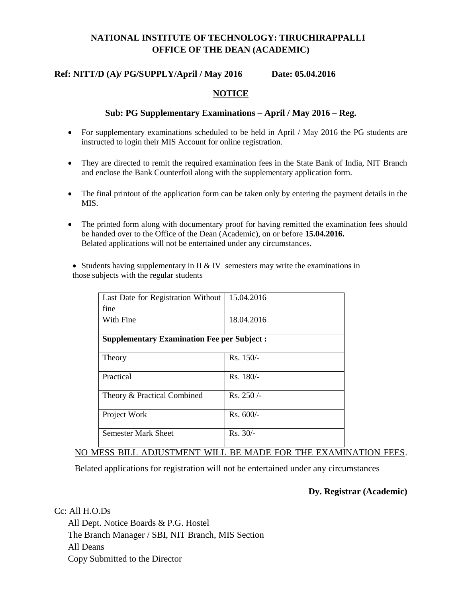# **NATIONAL INSTITUTE OF TECHNOLOGY: TIRUCHIRAPPALLI OFFICE OF THE DEAN (ACADEMIC)**

### **Ref: NITT/D (A)/ PG/SUPPLY/April / May 2016 Date: 05.04.2016**

#### **NOTICE**

#### **Sub: PG Supplementary Examinations – April / May 2016 – Reg.**

- For supplementary examinations scheduled to be held in April / May 2016 the PG students are instructed to login their MIS Account for online registration.
- They are directed to remit the required examination fees in the State Bank of India, NIT Branch and enclose the Bank Counterfoil along with the supplementary application form.
- The final printout of the application form can be taken only by entering the payment details in the MIS.
- The printed form along with documentary proof for having remitted the examination fees should be handed over to the Office of the Dean (Academic), on or before **15.04.2016.** Belated applications will not be entertained under any circumstances.

• Students having supplementary in  $II \& IV$  semesters may write the examinations in those subjects with the regular students

| Last Date for Registration Without                | 15.04.2016  |
|---------------------------------------------------|-------------|
| fine                                              |             |
| With Fine                                         | 18.04.2016  |
|                                                   |             |
| <b>Supplementary Examination Fee per Subject:</b> |             |
|                                                   | $Rs. 150/-$ |
| Theory                                            |             |
| Practical                                         | Rs. 180/-   |
|                                                   |             |
| Theory & Practical Combined                       | Rs. 250/-   |
|                                                   |             |
| Project Work                                      | $Rs. 600/-$ |
|                                                   |             |
| <b>Semester Mark Sheet</b>                        | $Rs. 30/-$  |
|                                                   |             |

# NO MESS BILL ADJUSTMENT WILL BE MADE FOR THE EXAMINATION FEES.

Belated applications for registration will not be entertained under any circumstances

#### **Dy. Registrar (Academic)**

Cc: All H.O.Ds All Dept. Notice Boards & P.G. Hostel The Branch Manager / SBI, NIT Branch, MIS Section All Deans Copy Submitted to the Director